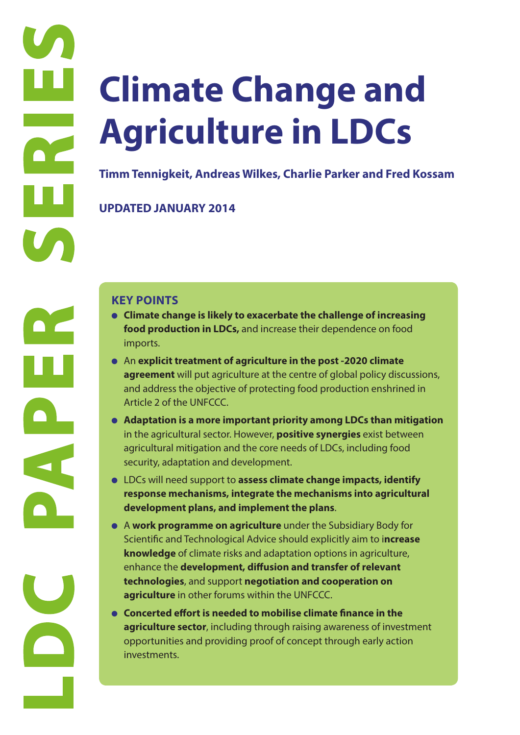# **LDC** Timm Tennigke<br>
UPDATED JANI<br>
KEY POINTS<br>
Climate cha food product<br>
imports.<br>
An explicit agreement<br>
and address<br>
Atticle 2 of tt<br>
and address<br>
Atticle 2 of tt<br>
arginultural<br>
security, ada<br>
• LDCs will nee agricultura **Climate Change and Agriculture in LDCs**

**Timm Tennigkeit, Andreas Wilkes, Charlie Parker and Fred Kossam**

**UPDATED JANUARY 2014**

- **Climate change is likely to exacerbate the challenge of increasing food production in LDCs,** and increase their dependence on food imports.
- An **explicit treatment of agriculture in the post -2020 climate agreement** will put agriculture at the centre of global policy discussions, and address the objective of protecting food production enshrined in Article 2 of the UNFCCC.
- **Adaptation is a more important priority among LDCs than mitigation** in the agricultural sector. However, **positive synergies** exist between agricultural mitigation and the core needs of LDCs, including food security, adaptation and development.
- LDCs will need support to **assess climate change impacts, identify response mechanisms, integrate the mechanisms into agricultural development plans, and implement the plans**.
- A **work programme on agriculture** under the Subsidiary Body for Scientific and Technological Advice should explicitly aim to i**ncrease knowledge** of climate risks and adaptation options in agriculture, enhance the **development, diffusion and transfer of relevant technologies**, and support **negotiation and cooperation on agriculture** in other forums within the UNFCCC.
- **Concerted effort is needed to mobilise climate finance in the agriculture sector**, including through raising awareness of investment opportunities and providing proof of concept through early action investments.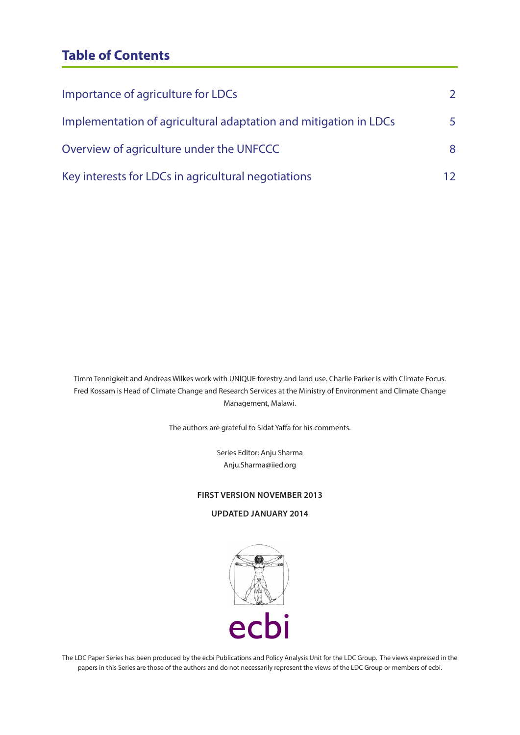# **Table of Contents**

| Importance of agriculture for LDCs                               | $\mathcal{L}$ |
|------------------------------------------------------------------|---------------|
| Implementation of agricultural adaptation and mitigation in LDCs | 5             |
| Overview of agriculture under the UNFCCC                         | 8             |
| Key interests for LDCs in agricultural negotiations              | 12            |

Timm Tennigkeit and Andreas Wilkes work with UNIQUE forestry and land use. Charlie Parker is with Climate Focus. Fred Kossam is Head of Climate Change and Research Services at the Ministry of Environment and Climate Change Management, Malawi.

The authors are grateful to Sidat Yaffa for his comments.

Series Editor: Anju Sharma Anju.Sharma@iied.org

#### **FIRST VERSION NOVEMBER 2013**

#### **UPDATED JANUARY 2014**



The LDC Paper Series has been produced by the ecbi Publications and Policy Analysis Unit for the LDC Group. The views expressed in the papers in this Series are those of the authors and do not necessarily represent the views of the LDC Group or members of ecbi.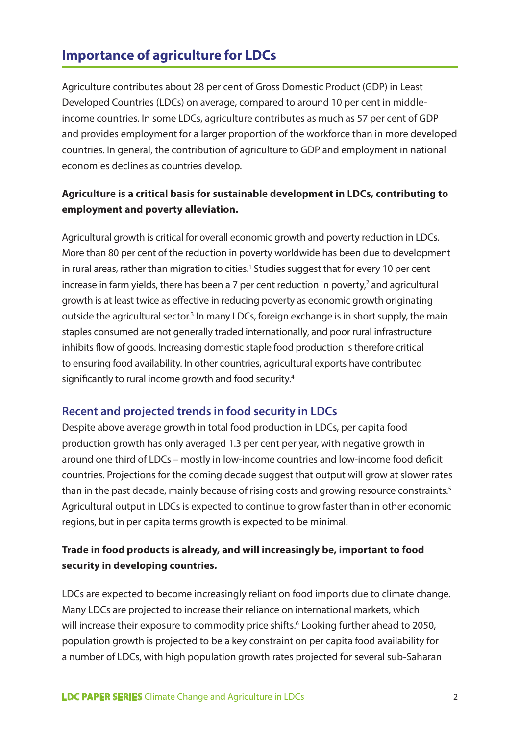# **Importance of agriculture for LDCs**

Agriculture contributes about 28 per cent of Gross Domestic Product (GDP) in Least Developed Countries (LDCs) on average, compared to around 10 per cent in middleincome countries. In some LDCs, agriculture contributes as much as 57 per cent of GDP and provides employment for a larger proportion of the workforce than in more developed countries. In general, the contribution of agriculture to GDP and employment in national economies declines as countries develop.

# **Agriculture is a critical basis for sustainable development in LDCs, contributing to employment and poverty alleviation.**

Agricultural growth is critical for overall economic growth and poverty reduction in LDCs. More than 80 per cent of the reduction in poverty worldwide has been due to development in rural areas, rather than migration to cities.<sup>1</sup> Studies suggest that for every 10 per cent increase in farm yields, there has been a  $7$  per cent reduction in poverty, $2$  and agricultural growth is at least twice as effective in reducing poverty as economic growth originating outside the agricultural sector.<sup>3</sup> In many LDCs, foreign exchange is in short supply, the main staples consumed are not generally traded internationally, and poor rural infrastructure inhibits flow of goods. Increasing domestic staple food production is therefore critical to ensuring food availability. In other countries, agricultural exports have contributed significantly to rural income growth and food security.<sup>4</sup>

# **Recent and projected trends in food security in LDCs**

Despite above average growth in total food production in LDCs, per capita food production growth has only averaged 1.3 per cent per year, with negative growth in around one third of LDCs – mostly in low-income countries and low-income food deficit countries. Projections for the coming decade suggest that output will grow at slower rates than in the past decade, mainly because of rising costs and growing resource constraints.<sup>5</sup> Agricultural output in LDCs is expected to continue to grow faster than in other economic regions, but in per capita terms growth is expected to be minimal.

# **Trade in food products is already, and will increasingly be, important to food security in developing countries.**

LDCs are expected to become increasingly reliant on food imports due to climate change. Many LDCs are projected to increase their reliance on international markets, which will increase their exposure to commodity price shifts.<sup>6</sup> Looking further ahead to 2050, population growth is projected to be a key constraint on per capita food availability for a number of LDCs, with high population growth rates projected for several sub-Saharan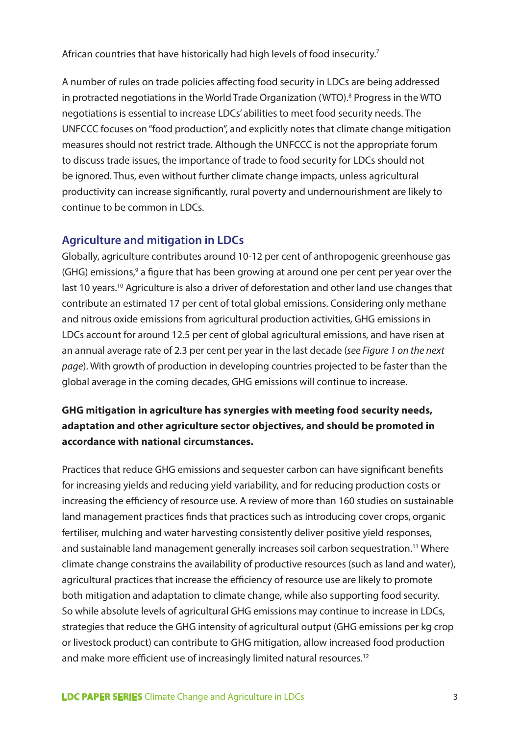African countries that have historically had high levels of food insecurity.<sup>7</sup>

A number of rules on trade policies affecting food security in LDCs are being addressed in protracted negotiations in the World Trade Organization (WTO).<sup>8</sup> Progress in the WTO negotiations is essential to increase LDCs' abilities to meet food security needs. The UNFCCC focuses on "food production", and explicitly notes that climate change mitigation measures should not restrict trade. Although the UNFCCC is not the appropriate forum to discuss trade issues, the importance of trade to food security for LDCs should not be ignored. Thus, even without further climate change impacts, unless agricultural productivity can increase significantly, rural poverty and undernourishment are likely to continue to be common in LDCs.

#### **Agriculture and mitigation in LDCs**

Globally, agriculture contributes around 10-12 per cent of anthropogenic greenhouse gas (GHG) emissions,<sup>9</sup> a figure that has been growing at around one per cent per year over the last 10 years.<sup>10</sup> Agriculture is also a driver of deforestation and other land use changes that contribute an estimated 17 per cent of total global emissions. Considering only methane and nitrous oxide emissions from agricultural production activities, GHG emissions in LDCs account for around 12.5 per cent of global agricultural emissions, and have risen at an annual average rate of 2.3 per cent per year in the last decade (*see Figure 1 on the next page*). With growth of production in developing countries projected to be faster than the global average in the coming decades, GHG emissions will continue to increase.

# **GHG mitigation in agriculture has synergies with meeting food security needs, adaptation and other agriculture sector objectives, and should be promoted in accordance with national circumstances.**

Practices that reduce GHG emissions and sequester carbon can have significant benefits for increasing yields and reducing yield variability, and for reducing production costs or increasing the efficiency of resource use. A review of more than 160 studies on sustainable land management practices finds that practices such as introducing cover crops, organic fertiliser, mulching and water harvesting consistently deliver positive yield responses, and sustainable land management generally increases soil carbon sequestration.<sup>11</sup> Where climate change constrains the availability of productive resources (such as land and water), agricultural practices that increase the efficiency of resource use are likely to promote both mitigation and adaptation to climate change, while also supporting food security. So while absolute levels of agricultural GHG emissions may continue to increase in LDCs, strategies that reduce the GHG intensity of agricultural output (GHG emissions per kg crop or livestock product) can contribute to GHG mitigation, allow increased food production and make more efficient use of increasingly limited natural resources.<sup>12</sup>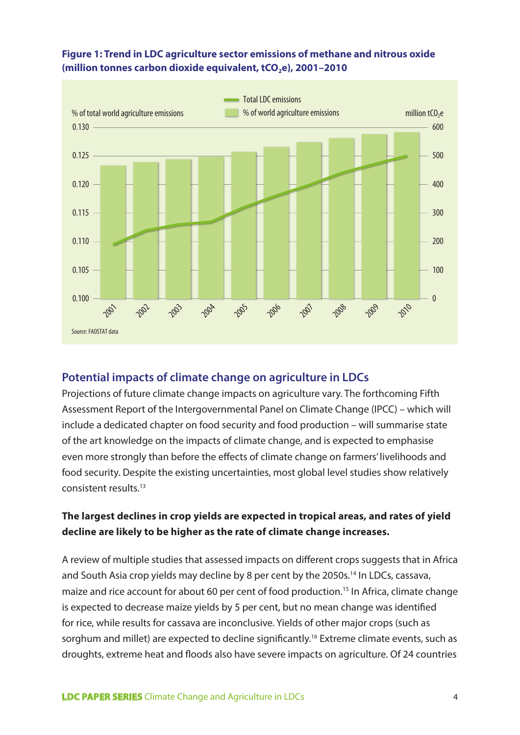

#### **Figure 1: Trend in LDC agriculture sector emissions of methane and nitrous oxide**  (million tonnes carbon dioxide equivalent, tCO<sub>2</sub>e), 2001-2010

#### **Potential impacts of climate change on agriculture in LDCs**

Projections of future climate change impacts on agriculture vary. The forthcoming Fifth Assessment Report of the Intergovernmental Panel on Climate Change (IPCC) – which will include a dedicated chapter on food security and food production – will summarise state of the art knowledge on the impacts of climate change, and is expected to emphasise even more strongly than before the effects of climate change on farmers' livelihoods and food security. Despite the existing uncertainties, most global level studies show relatively consistent results.13

# **The largest declines in crop yields are expected in tropical areas, and rates of yield decline are likely to be higher as the rate of climate change increases.**

A review of multiple studies that assessed impacts on different crops suggests that in Africa and South Asia crop yields may decline by 8 per cent by the 2050s.<sup>14</sup> In LDCs, cassava, maize and rice account for about 60 per cent of food production.<sup>15</sup> In Africa, climate change is expected to decrease maize yields by 5 per cent, but no mean change was identified for rice, while results for cassava are inconclusive. Yields of other major crops (such as sorghum and millet) are expected to decline significantly.<sup>16</sup> Extreme climate events, such as droughts, extreme heat and floods also have severe impacts on agriculture. Of 24 countries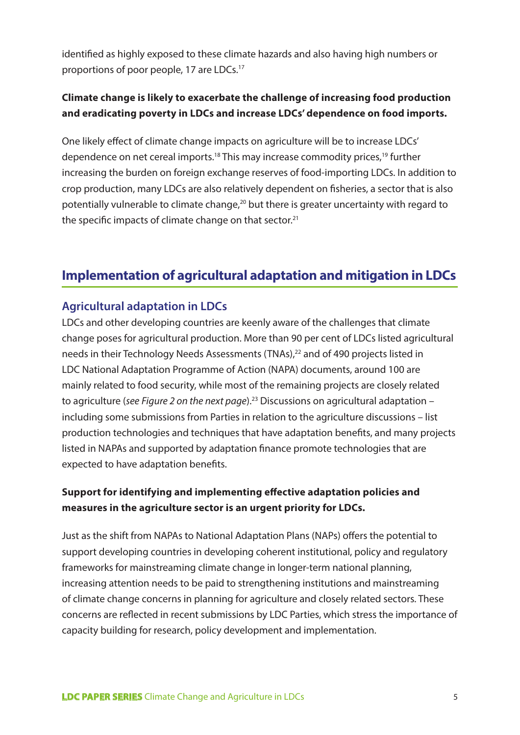identified as highly exposed to these climate hazards and also having high numbers or proportions of poor people, 17 are LDCs.<sup>17</sup>

# **Climate change is likely to exacerbate the challenge of increasing food production and eradicating poverty in LDCs and increase LDCs' dependence on food imports.**

One likely effect of climate change impacts on agriculture will be to increase LDCs' dependence on net cereal imports.<sup>18</sup> This may increase commodity prices,<sup>19</sup> further increasing the burden on foreign exchange reserves of food-importing LDCs. In addition to crop production, many LDCs are also relatively dependent on fisheries, a sector that is also potentially vulnerable to climate change,<sup>20</sup> but there is greater uncertainty with regard to the specific impacts of climate change on that sector.<sup>21</sup>

# **Implementation of agricultural adaptation and mitigation in LDCs**

# **Agricultural adaptation in LDCs**

LDCs and other developing countries are keenly aware of the challenges that climate change poses for agricultural production. More than 90 per cent of LDCs listed agricultural needs in their Technology Needs Assessments (TNAs),<sup>22</sup> and of 490 projects listed in LDC National Adaptation Programme of Action (NAPA) documents, around 100 are mainly related to food security, while most of the remaining projects are closely related to agriculture (*see Figure 2 on the next page*).23 Discussions on agricultural adaptation – including some submissions from Parties in relation to the agriculture discussions – list production technologies and techniques that have adaptation benefits, and many projects listed in NAPAs and supported by adaptation finance promote technologies that are expected to have adaptation benefits.

# **Support for identifying and implementing effective adaptation policies and measures in the agriculture sector is an urgent priority for LDCs.**

Just as the shift from NAPAs to National Adaptation Plans (NAPs) offers the potential to support developing countries in developing coherent institutional, policy and regulatory frameworks for mainstreaming climate change in longer-term national planning, increasing attention needs to be paid to strengthening institutions and mainstreaming of climate change concerns in planning for agriculture and closely related sectors. These concerns are reflected in recent submissions by LDC Parties, which stress the importance of capacity building for research, policy development and implementation.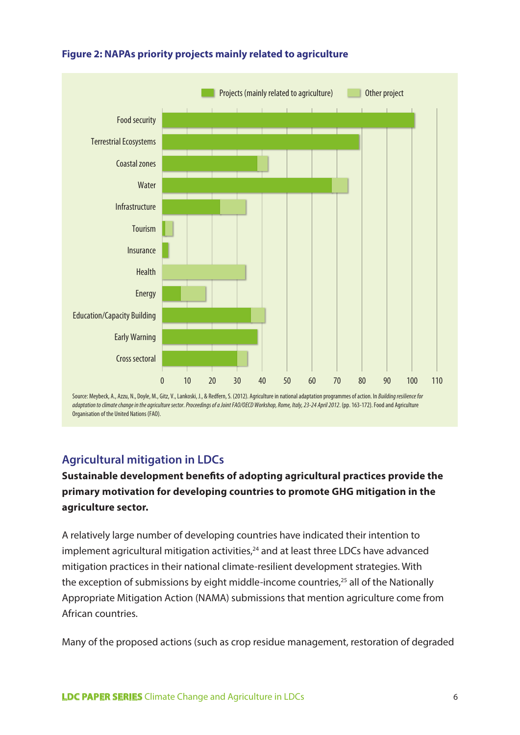

#### **Figure 2: NAPAs priority projects mainly related to agriculture**

# **Agricultural mitigation in LDCs**

# **Sustainable development benefits of adopting agricultural practices provide the primary motivation for developing countries to promote GHG mitigation in the agriculture sector.**

A relatively large number of developing countries have indicated their intention to  $i$ mplement agricultural mitigation activities, $24$  and at least three LDCs have advanced mitigation practices in their national climate-resilient development strategies. With the exception of submissions by eight middle-income countries, $25$  all of the Nationally Appropriate Mitigation Action (NAMA) submissions that mention agriculture come from African countries.

Many of the proposed actions (such as crop residue management, restoration of degraded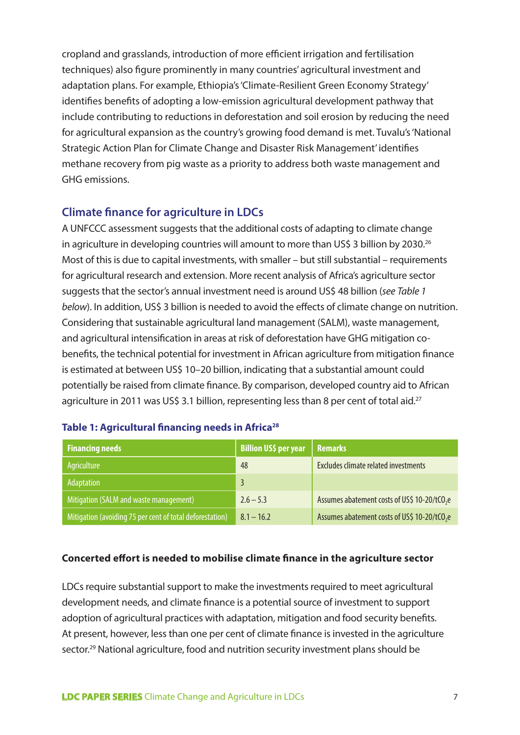cropland and grasslands, introduction of more efficient irrigation and fertilisation techniques) also figure prominently in many countries' agricultural investment and adaptation plans. For example, Ethiopia's 'Climate-Resilient Green Economy Strategy' identifies benefits of adopting a low-emission agricultural development pathway that include contributing to reductions in deforestation and soil erosion by reducing the need for agricultural expansion as the country's growing food demand is met. Tuvalu's 'National Strategic Action Plan for Climate Change and Disaster Risk Management' identifies methane recovery from pig waste as a priority to address both waste management and GHG emissions.

#### **Climate finance for agriculture in LDCs**

A UNFCCC assessment suggests that the additional costs of adapting to climate change in agriculture in developing countries will amount to more than US\$ 3 billion by 2030.<sup>26</sup> Most of this is due to capital investments, with smaller – but still substantial – requirements for agricultural research and extension. More recent analysis of Africa's agriculture sector suggests that the sector's annual investment need is around US\$ 48 billion (*see Table 1 below*). In addition, US\$ 3 billion is needed to avoid the effects of climate change on nutrition. Considering that sustainable agricultural land management (SALM), waste management, and agricultural intensification in areas at risk of deforestation have GHG mitigation cobenefits, the technical potential for investment in African agriculture from mitigation finance is estimated at between US\$ 10–20 billion, indicating that a substantial amount could potentially be raised from climate finance. By comparison, developed country aid to African agriculture in 2011 was US\$ 3.1 billion, representing less than 8 per cent of total aid.<sup>27</sup>

| <b>Financing needs</b>                                   | <b>Billion US\$ per year</b> | <b>Remarks</b>                                           |
|----------------------------------------------------------|------------------------------|----------------------------------------------------------|
| Agriculture                                              | 48                           | Excludes climate related investments                     |
| Adaptation                                               | 3                            |                                                          |
| Mitigation (SALM and waste management)                   | $2.6 - 5.3$                  | Assumes abatement costs of US\$ 10-20/tCO <sub>2</sub> e |
| Mitigation (avoiding 75 per cent of total deforestation) | $8.1 - 16.2$                 | Assumes abatement costs of US\$ 10-20/tCO <sub>2</sub> e |

#### Table 1: Agricultural financing needs in Africa<sup>28</sup>

#### **Concerted effort is needed to mobilise climate finance in the agriculture sector**

LDCs require substantial support to make the investments required to meet agricultural development needs, and climate finance is a potential source of investment to support adoption of agricultural practices with adaptation, mitigation and food security benefits. At present, however, less than one per cent of climate finance is invested in the agriculture sector.<sup>29</sup> National agriculture, food and nutrition security investment plans should be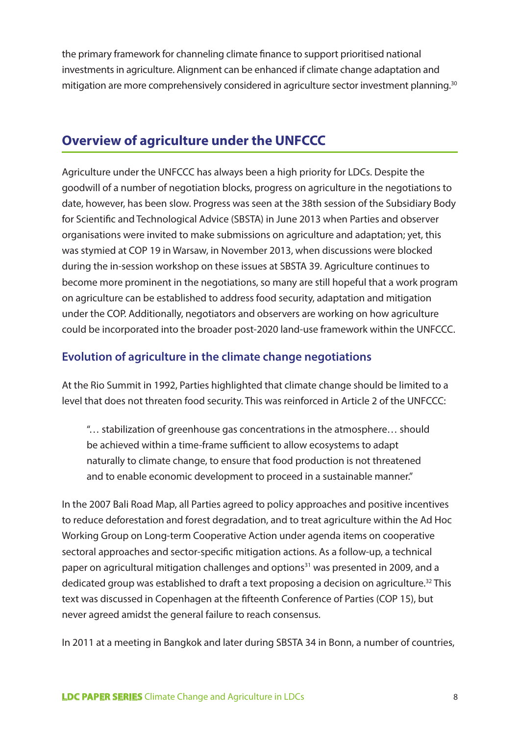the primary framework for channeling climate finance to support prioritised national investments in agriculture. Alignment can be enhanced if climate change adaptation and mitigation are more comprehensively considered in agriculture sector investment planning.30

# **Overview of agriculture under the UNFCCC**

Agriculture under the UNFCCC has always been a high priority for LDCs. Despite the goodwill of a number of negotiation blocks, progress on agriculture in the negotiations to date, however, has been slow. Progress was seen at the 38th session of the Subsidiary Body for Scientific and Technological Advice (SBSTA) in June 2013 when Parties and observer organisations were invited to make submissions on agriculture and adaptation; yet, this was stymied at COP 19 in Warsaw, in November 2013, when discussions were blocked during the in-session workshop on these issues at SBSTA 39. Agriculture continues to become more prominent in the negotiations, so many are still hopeful that a work program on agriculture can be established to address food security, adaptation and mitigation under the COP. Additionally, negotiators and observers are working on how agriculture could be incorporated into the broader post-2020 land-use framework within the UNFCCC.

# **Evolution of agriculture in the climate change negotiations**

At the Rio Summit in 1992, Parties highlighted that climate change should be limited to a level that does not threaten food security. This was reinforced in Article 2 of the UNFCCC:

"… stabilization of greenhouse gas concentrations in the atmosphere… should be achieved within a time-frame sufficient to allow ecosystems to adapt naturally to climate change, to ensure that food production is not threatened and to enable economic development to proceed in a sustainable manner."

In the 2007 Bali Road Map, all Parties agreed to policy approaches and positive incentives to reduce deforestation and forest degradation, and to treat agriculture within the Ad Hoc Working Group on Long-term Cooperative Action under agenda items on cooperative sectoral approaches and sector-specific mitigation actions. As a follow-up, a technical paper on agricultural mitigation challenges and options<sup>31</sup> was presented in 2009, and a dedicated group was established to draft a text proposing a decision on agriculture.<sup>32</sup> This text was discussed in Copenhagen at the fifteenth Conference of Parties (COP 15), but never agreed amidst the general failure to reach consensus.

In 2011 at a meeting in Bangkok and later during SBSTA 34 in Bonn, a number of countries,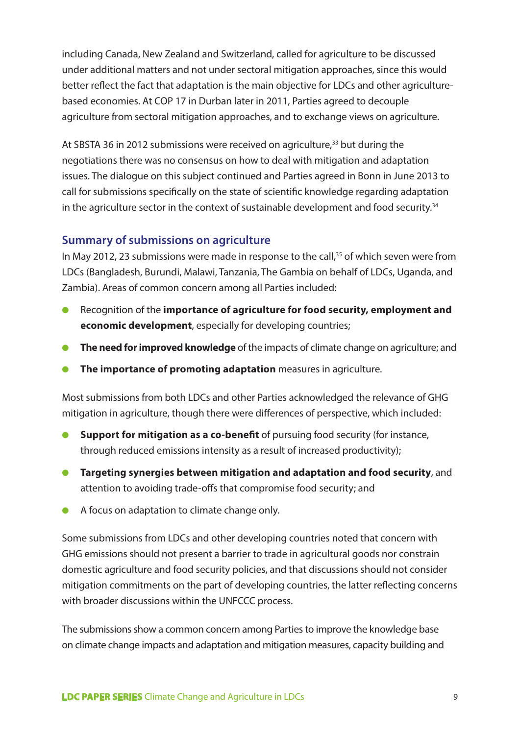including Canada, New Zealand and Switzerland, called for agriculture to be discussed under additional matters and not under sectoral mitigation approaches, since this would better reflect the fact that adaptation is the main objective for LDCs and other agriculturebased economies. At COP 17 in Durban later in 2011, Parties agreed to decouple agriculture from sectoral mitigation approaches, and to exchange views on agriculture.

At SBSTA 36 in 2012 submissions were received on agriculture,<sup>33</sup> but during the negotiations there was no consensus on how to deal with mitigation and adaptation issues. The dialogue on this subject continued and Parties agreed in Bonn in June 2013 to call for submissions specifically on the state of scientific knowledge regarding adaptation in the agriculture sector in the context of sustainable development and food security.<sup>34</sup>

#### **Summary of submissions on agriculture**

In May 2012, 23 submissions were made in response to the call,<sup>35</sup> of which seven were from LDCs (Bangladesh, Burundi, Malawi, Tanzania, The Gambia on behalf of LDCs, Uganda, and Zambia). Areas of common concern among all Parties included:

- Recognition of the **importance of agriculture for food security, employment and economic development**, especially for developing countries;
- **The need for improved knowledge** of the impacts of climate change on agriculture; and
- **The importance of promoting adaptation** measures in agriculture.

Most submissions from both LDCs and other Parties acknowledged the relevance of GHG mitigation in agriculture, though there were differences of perspective, which included:

- **Support for mitigation as a co-benefit** of pursuing food security (for instance, through reduced emissions intensity as a result of increased productivity);
- **Targeting synergies between mitigation and adaptation and food security**, and attention to avoiding trade-offs that compromise food security; and
- A focus on adaptation to climate change only.

Some submissions from LDCs and other developing countries noted that concern with GHG emissions should not present a barrier to trade in agricultural goods nor constrain domestic agriculture and food security policies, and that discussions should not consider mitigation commitments on the part of developing countries, the latter reflecting concerns with broader discussions within the UNFCCC process.

The submissions show a common concern among Parties to improve the knowledge base on climate change impacts and adaptation and mitigation measures, capacity building and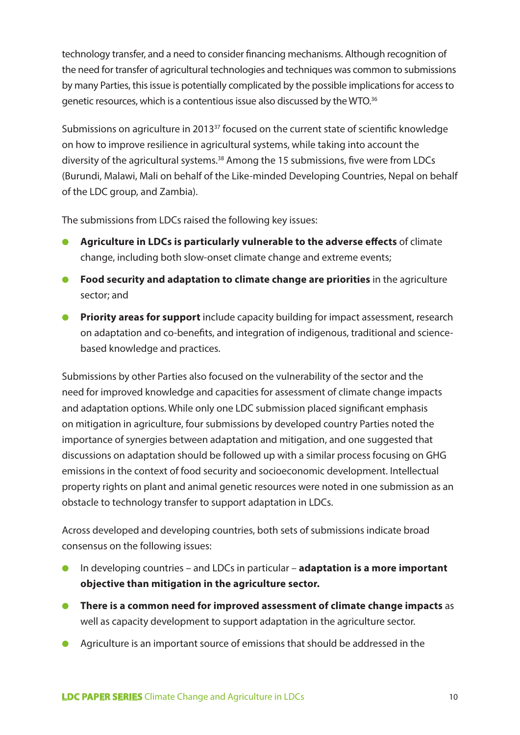technology transfer, and a need to consider financing mechanisms. Although recognition of the need for transfer of agricultural technologies and techniques was common to submissions by many Parties, this issue is potentially complicated by the possible implications for access to genetic resources, which is a contentious issue also discussed by the WTO.36

Submissions on agriculture in 2013<sup>37</sup> focused on the current state of scientific knowledge on how to improve resilience in agricultural systems, while taking into account the diversity of the agricultural systems.<sup>38</sup> Among the 15 submissions, five were from LDCs (Burundi, Malawi, Mali on behalf of the Like-minded Developing Countries, Nepal on behalf of the LDC group, and Zambia).

The submissions from LDCs raised the following key issues:

- **Agriculture in LDCs is particularly vulnerable to the adverse effects** of climate change, including both slow-onset climate change and extreme events;
- **Food security and adaptation to climate change are priorities** in the agriculture sector; and
- **Priority areas for support** include capacity building for impact assessment, research on adaptation and co-benefits, and integration of indigenous, traditional and sciencebased knowledge and practices.

Submissions by other Parties also focused on the vulnerability of the sector and the need for improved knowledge and capacities for assessment of climate change impacts and adaptation options. While only one LDC submission placed significant emphasis on mitigation in agriculture, four submissions by developed country Parties noted the importance of synergies between adaptation and mitigation, and one suggested that discussions on adaptation should be followed up with a similar process focusing on GHG emissions in the context of food security and socioeconomic development. Intellectual property rights on plant and animal genetic resources were noted in one submission as an obstacle to technology transfer to support adaptation in LDCs.

Across developed and developing countries, both sets of submissions indicate broad consensus on the following issues:

- In developing countries and LDCs in particular **adaptation is a more important objective than mitigation in the agriculture sector.**
- **There is a common need for improved assessment of climate change impacts** as well as capacity development to support adaptation in the agriculture sector.
- Agriculture is an important source of emissions that should be addressed in the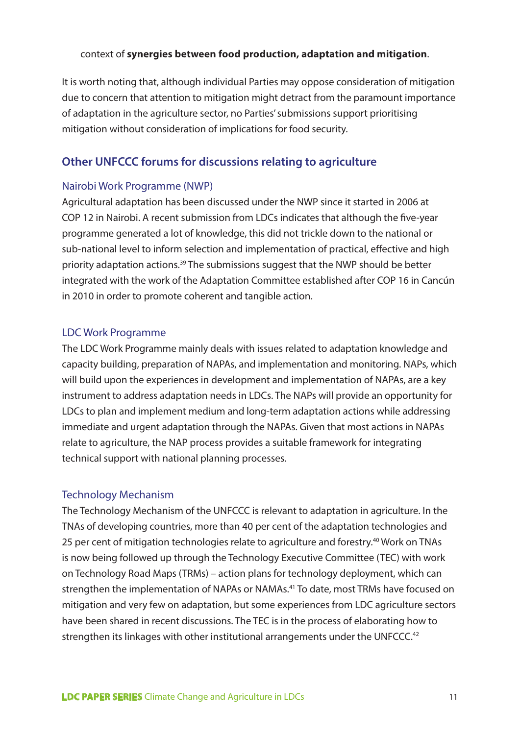#### context of **synergies between food production, adaptation and mitigation**.

It is worth noting that, although individual Parties may oppose consideration of mitigation due to concern that attention to mitigation might detract from the paramount importance of adaptation in the agriculture sector, no Parties' submissions support prioritising mitigation without consideration of implications for food security.

#### **Other UNFCCC forums for discussions relating to agriculture**

#### Nairobi Work Programme (NWP)

Agricultural adaptation has been discussed under the NWP since it started in 2006 at COP 12 in Nairobi. A recent submission from LDCs indicates that although the five-year programme generated a lot of knowledge, this did not trickle down to the national or sub-national level to inform selection and implementation of practical, effective and high priority adaptation actions.39 The submissions suggest that the NWP should be better integrated with the work of the Adaptation Committee established after COP 16 in Cancún in 2010 in order to promote coherent and tangible action.

#### LDC Work Programme

The LDC Work Programme mainly deals with issues related to adaptation knowledge and capacity building, preparation of NAPAs, and implementation and monitoring. NAPs, which will build upon the experiences in development and implementation of NAPAs, are a key instrument to address adaptation needs in LDCs. The NAPs will provide an opportunity for LDCs to plan and implement medium and long-term adaptation actions while addressing immediate and urgent adaptation through the NAPAs. Given that most actions in NAPAs relate to agriculture, the NAP process provides a suitable framework for integrating technical support with national planning processes.

#### Technology Mechanism

The Technology Mechanism of the UNFCCC is relevant to adaptation in agriculture. In the TNAs of developing countries, more than 40 per cent of the adaptation technologies and 25 per cent of mitigation technologies relate to agriculture and forestry.<sup>40</sup> Work on TNAs is now being followed up through the Technology Executive Committee (TEC) with work on Technology Road Maps (TRMs) – action plans for technology deployment, which can strengthen the implementation of NAPAs or NAMAs.41 To date, most TRMs have focused on mitigation and very few on adaptation, but some experiences from LDC agriculture sectors have been shared in recent discussions. The TEC is in the process of elaborating how to strengthen its linkages with other institutional arrangements under the UNFCCC.<sup>42</sup>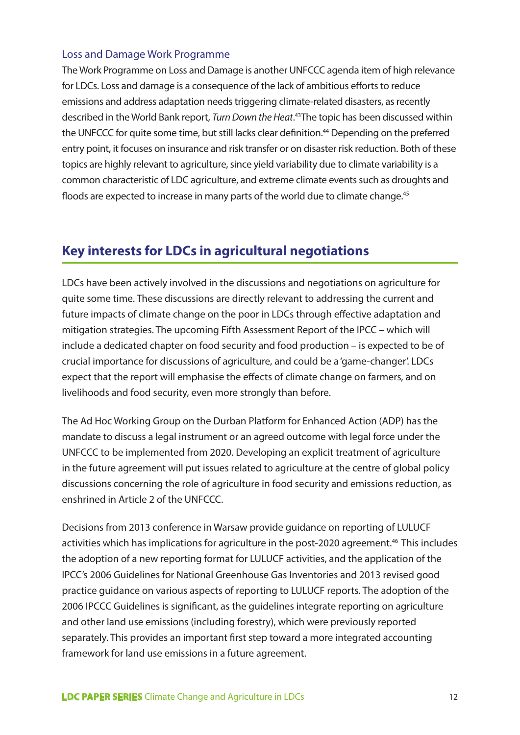#### Loss and Damage Work Programme

The Work Programme on Loss and Damage is another UNFCCC agenda item of high relevance for LDCs. Loss and damage is a consequence of the lack of ambitious efforts to reduce emissions and address adaptation needs triggering climate-related disasters, as recently described in the World Bank report, *Turn Down the Heat*. 43The topic has been discussed within the UNFCCC for quite some time, but still lacks clear definition.<sup>44</sup> Depending on the preferred entry point, it focuses on insurance and risk transfer or on disaster risk reduction. Both of these topics are highly relevant to agriculture, since yield variability due to climate variability is a common characteristic of LDC agriculture, and extreme climate events such as droughts and floods are expected to increase in many parts of the world due to climate change.<sup>45</sup>

# **Key interests for LDCs in agricultural negotiations**

LDCs have been actively involved in the discussions and negotiations on agriculture for quite some time. These discussions are directly relevant to addressing the current and future impacts of climate change on the poor in LDCs through effective adaptation and mitigation strategies. The upcoming Fifth Assessment Report of the IPCC – which will include a dedicated chapter on food security and food production – is expected to be of crucial importance for discussions of agriculture, and could be a 'game-changer'. LDCs expect that the report will emphasise the effects of climate change on farmers, and on livelihoods and food security, even more strongly than before.

The Ad Hoc Working Group on the Durban Platform for Enhanced Action (ADP) has the mandate to discuss a legal instrument or an agreed outcome with legal force under the UNFCCC to be implemented from 2020. Developing an explicit treatment of agriculture in the future agreement will put issues related to agriculture at the centre of global policy discussions concerning the role of agriculture in food security and emissions reduction, as enshrined in Article 2 of the UNFCCC.

Decisions from 2013 conference in Warsaw provide guidance on reporting of LULUCF activities which has implications for agriculture in the post-2020 agreement.<sup>46</sup> This includes the adoption of a new reporting format for LULUCF activities, and the application of the IPCC's 2006 Guidelines for National Greenhouse Gas Inventories and 2013 revised good practice guidance on various aspects of reporting to LULUCF reports. The adoption of the 2006 IPCCC Guidelines is significant, as the guidelines integrate reporting on agriculture and other land use emissions (including forestry), which were previously reported separately. This provides an important first step toward a more integrated accounting framework for land use emissions in a future agreement.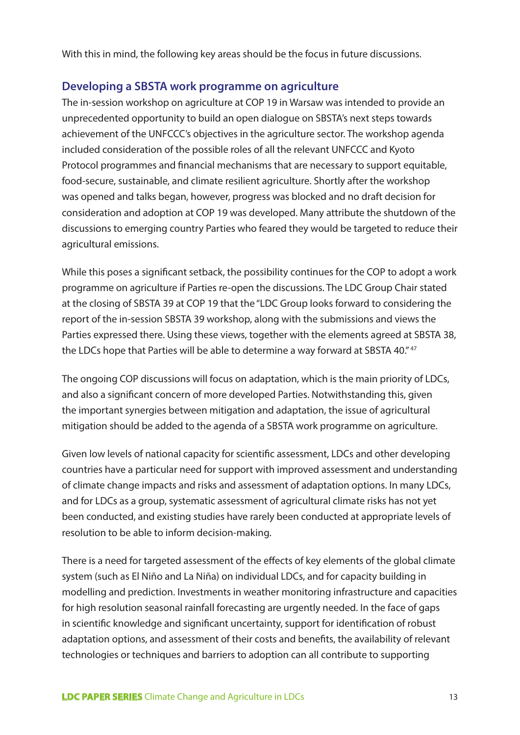With this in mind, the following key areas should be the focus in future discussions.

#### **Developing a SBSTA work programme on agriculture**

The in-session workshop on agriculture at COP 19 in Warsaw was intended to provide an unprecedented opportunity to build an open dialogue on SBSTA's next steps towards achievement of the UNFCCC's objectives in the agriculture sector. The workshop agenda included consideration of the possible roles of all the relevant UNFCCC and Kyoto Protocol programmes and financial mechanisms that are necessary to support equitable, food-secure, sustainable, and climate resilient agriculture. Shortly after the workshop was opened and talks began, however, progress was blocked and no draft decision for consideration and adoption at COP 19 was developed. Many attribute the shutdown of the discussions to emerging country Parties who feared they would be targeted to reduce their agricultural emissions.

While this poses a significant setback, the possibility continues for the COP to adopt a work programme on agriculture if Parties re-open the discussions. The LDC Group Chair stated at the closing of SBSTA 39 at COP 19 that the "LDC Group looks forward to considering the report of the in-session SBSTA 39 workshop, along with the submissions and views the Parties expressed there. Using these views, together with the elements agreed at SBSTA 38, the LDCs hope that Parties will be able to determine a way forward at SBSTA 40."<sup>47</sup>

The ongoing COP discussions will focus on adaptation, which is the main priority of LDCs, and also a significant concern of more developed Parties. Notwithstanding this, given the important synergies between mitigation and adaptation, the issue of agricultural mitigation should be added to the agenda of a SBSTA work programme on agriculture.

Given low levels of national capacity for scientific assessment, LDCs and other developing countries have a particular need for support with improved assessment and understanding of climate change impacts and risks and assessment of adaptation options. In many LDCs, and for LDCs as a group, systematic assessment of agricultural climate risks has not yet been conducted, and existing studies have rarely been conducted at appropriate levels of resolution to be able to inform decision-making.

There is a need for targeted assessment of the effects of key elements of the global climate system (such as El Niño and La Niña) on individual LDCs, and for capacity building in modelling and prediction. Investments in weather monitoring infrastructure and capacities for high resolution seasonal rainfall forecasting are urgently needed. In the face of gaps in scientific knowledge and significant uncertainty, support for identification of robust adaptation options, and assessment of their costs and benefits, the availability of relevant technologies or techniques and barriers to adoption can all contribute to supporting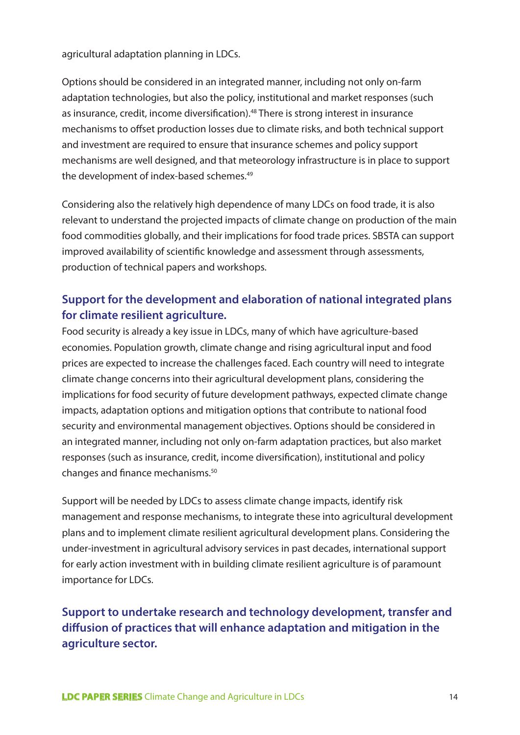agricultural adaptation planning in LDCs.

Options should be considered in an integrated manner, including not only on-farm adaptation technologies, but also the policy, institutional and market responses (such as insurance, credit, income diversification).<sup>48</sup> There is strong interest in insurance mechanisms to offset production losses due to climate risks, and both technical support and investment are required to ensure that insurance schemes and policy support mechanisms are well designed, and that meteorology infrastructure is in place to support the development of index-based schemes.49

Considering also the relatively high dependence of many LDCs on food trade, it is also relevant to understand the projected impacts of climate change on production of the main food commodities globally, and their implications for food trade prices. SBSTA can support improved availability of scientific knowledge and assessment through assessments, production of technical papers and workshops.

# **Support for the development and elaboration of national integrated plans for climate resilient agriculture.**

Food security is already a key issue in LDCs, many of which have agriculture-based economies. Population growth, climate change and rising agricultural input and food prices are expected to increase the challenges faced. Each country will need to integrate climate change concerns into their agricultural development plans, considering the implications for food security of future development pathways, expected climate change impacts, adaptation options and mitigation options that contribute to national food security and environmental management objectives. Options should be considered in an integrated manner, including not only on-farm adaptation practices, but also market responses (such as insurance, credit, income diversification), institutional and policy changes and finance mechanisms.50

Support will be needed by LDCs to assess climate change impacts, identify risk management and response mechanisms, to integrate these into agricultural development plans and to implement climate resilient agricultural development plans. Considering the under-investment in agricultural advisory services in past decades, international support for early action investment with in building climate resilient agriculture is of paramount importance for LDCs.

**Support to undertake research and technology development, transfer and diffusion of practices that will enhance adaptation and mitigation in the agriculture sector.**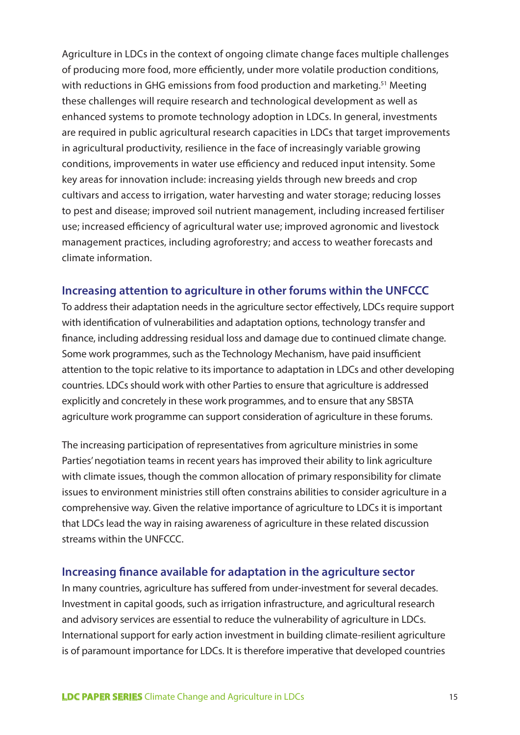Agriculture in LDCs in the context of ongoing climate change faces multiple challenges of producing more food, more efficiently, under more volatile production conditions, with reductions in GHG emissions from food production and marketing.<sup>51</sup> Meeting these challenges will require research and technological development as well as enhanced systems to promote technology adoption in LDCs. In general, investments are required in public agricultural research capacities in LDCs that target improvements in agricultural productivity, resilience in the face of increasingly variable growing conditions, improvements in water use efficiency and reduced input intensity. Some key areas for innovation include: increasing yields through new breeds and crop cultivars and access to irrigation, water harvesting and water storage; reducing losses to pest and disease; improved soil nutrient management, including increased fertiliser use; increased efficiency of agricultural water use; improved agronomic and livestock management practices, including agroforestry; and access to weather forecasts and climate information.

#### **Increasing attention to agriculture in other forums within the UNFCCC**

To address their adaptation needs in the agriculture sector effectively, LDCs require support with identification of vulnerabilities and adaptation options, technology transfer and finance, including addressing residual loss and damage due to continued climate change. Some work programmes, such as the Technology Mechanism, have paid insufficient attention to the topic relative to its importance to adaptation in LDCs and other developing countries. LDCs should work with other Parties to ensure that agriculture is addressed explicitly and concretely in these work programmes, and to ensure that any SBSTA agriculture work programme can support consideration of agriculture in these forums.

The increasing participation of representatives from agriculture ministries in some Parties' negotiation teams in recent years has improved their ability to link agriculture with climate issues, though the common allocation of primary responsibility for climate issues to environment ministries still often constrains abilities to consider agriculture in a comprehensive way. Given the relative importance of agriculture to LDCs it is important that LDCs lead the way in raising awareness of agriculture in these related discussion streams within the UNFCCC.

#### **Increasing finance available for adaptation in the agriculture sector**

In many countries, agriculture has suffered from under-investment for several decades. Investment in capital goods, such as irrigation infrastructure, and agricultural research and advisory services are essential to reduce the vulnerability of agriculture in LDCs. International support for early action investment in building climate-resilient agriculture is of paramount importance for LDCs. It is therefore imperative that developed countries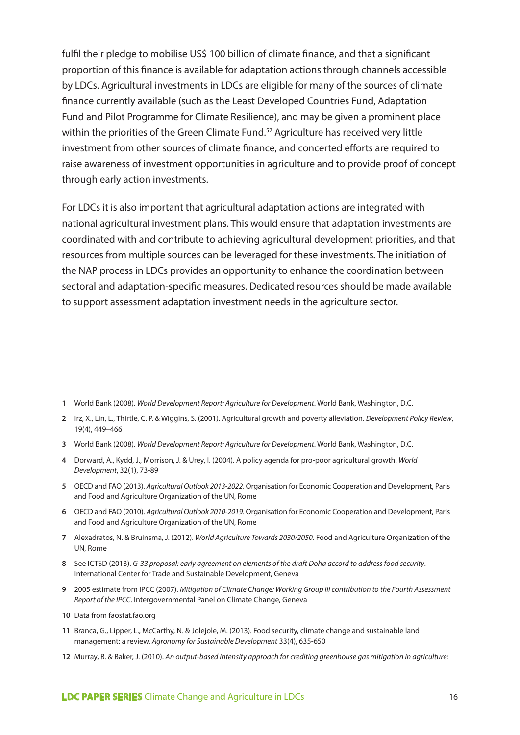fulfil their pledge to mobilise US\$ 100 billion of climate finance, and that a significant proportion of this finance is available for adaptation actions through channels accessible by LDCs. Agricultural investments in LDCs are eligible for many of the sources of climate finance currently available (such as the Least Developed Countries Fund, Adaptation Fund and Pilot Programme for Climate Resilience), and may be given a prominent place within the priorities of the Green Climate Fund.<sup>52</sup> Agriculture has received very little investment from other sources of climate finance, and concerted efforts are required to raise awareness of investment opportunities in agriculture and to provide proof of concept through early action investments.

For LDCs it is also important that agricultural adaptation actions are integrated with national agricultural investment plans. This would ensure that adaptation investments are coordinated with and contribute to achieving agricultural development priorities, and that resources from multiple sources can be leveraged for these investments. The initiation of the NAP process in LDCs provides an opportunity to enhance the coordination between sectoral and adaptation-specific measures. Dedicated resources should be made available to support assessment adaptation investment needs in the agriculture sector.

**1** World Bank (2008). *World Development Report: Agriculture for Development*. World Bank, Washington, D.C.

- **3** World Bank (2008). *World Development Report: Agriculture for Development*. World Bank, Washington, D.C.
- **4** Dorward, A., Kydd, J., Morrison, J. & Urey, I. (2004). A policy agenda for pro-poor agricultural growth. *World Development*, 32(1), 73-89
- **5** OECD and FAO (2013). *Agricultural Outlook 2013-2022*. Organisation for Economic Cooperation and Development, Paris and Food and Agriculture Organization of the UN, Rome
- **6** OECD and FAO (2010). *Agricultural Outlook 2010-2019*. Organisation for Economic Cooperation and Development, Paris and Food and Agriculture Organization of the UN, Rome
- **7** Alexadratos, N. & Bruinsma, J. (2012). *World Agriculture Towards 2030/2050*. Food and Agriculture Organization of the UN, Rome
- **8** See ICTSD (2013). *G-33 proposal: early agreement on elements of the draft Doha accord to address food security*. International Center for Trade and Sustainable Development, Geneva
- **9** 2005 estimate from IPCC (2007). *Mitigation of Climate Change: Working Group III contribution to the Fourth Assessment Report of the IPCC*. Intergovernmental Panel on Climate Change, Geneva
- **10** Data from faostat.fao.org
- **11** Branca, G., Lipper, L., McCarthy, N. & Jolejole, M. (2013). Food security, climate change and sustainable land management: a review. *Agronomy for Sustainable Development* 33(4), 635-650
- **12** Murray, B. & Baker, J. (2010). *An output-based intensity approach for crediting greenhouse gas mitigation in agriculture:*

**<sup>2</sup>** Irz, X., Lin, L., Thirtle, C. P. & Wiggins, S. (2001). Agricultural growth and poverty alleviation. *Development Policy Review*, 19(4), 449–466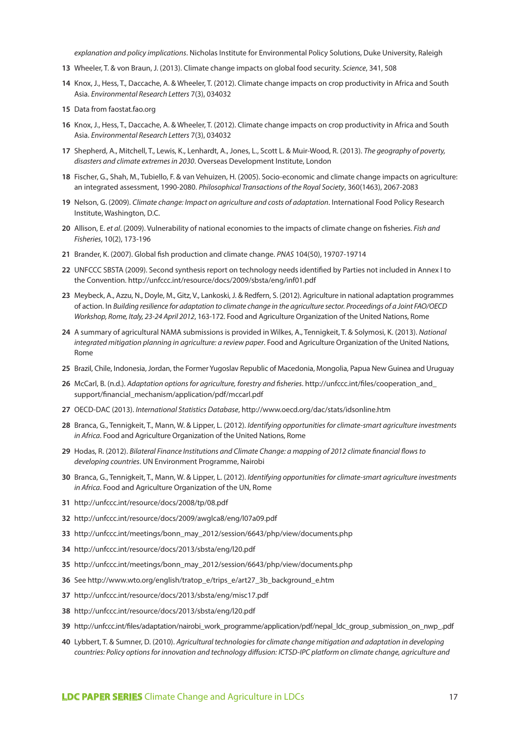*explanation and policy implications*. Nicholas Institute for Environmental Policy Solutions, Duke University, Raleigh

- Wheeler, T. & von Braun, J. (2013). Climate change impacts on global food security. *Science*, 341, 508
- Knox, J., Hess, T., Daccache, A. & Wheeler, T. (2012). Climate change impacts on crop productivity in Africa and South Asia. *Environmental Research Letters* 7(3), 034032
- Data from faostat.fao.org
- Knox, J., Hess, T., Daccache, A. & Wheeler, T. (2012). Climate change impacts on crop productivity in Africa and South Asia. *Environmental Research Letters* 7(3), 034032
- Shepherd, A., Mitchell, T., Lewis, K., Lenhardt, A., Jones, L., Scott L. & Muir-Wood, R. (2013). *The geography of poverty, disasters and climate extremes in 2030*. Overseas Development Institute, London
- Fischer, G., Shah, M., Tubiello, F. & van Vehuizen, H. (2005). Socio-economic and climate change impacts on agriculture: an integrated assessment, 1990-2080. *Philosophical Transactions of the Royal Society*, 360(1463), 2067-2083
- Nelson, G. (2009). *Climate change: Impact on agriculture and costs of adaptation*. International Food Policy Research Institute, Washington, D.C.
- Allison, E. *et al*. (2009). Vulnerability of national economies to the impacts of climate change on fisheries. *Fish and Fisheries*, 10(2), 173-196
- Brander, K. (2007). Global fish production and climate change. *PNAS* 104(50), 19707-19714
- UNFCCC SBSTA (2009). Second synthesis report on technology needs identified by Parties not included in Annex I to the Convention. http://unfccc.int/resource/docs/2009/sbsta/eng/inf01.pdf
- Meybeck, A., Azzu, N., Doyle, M., Gitz, V., Lankoski, J. & Redfern, S. (2012). Agriculture in national adaptation programmes of action. In *Building resilience for adaptation to climate change in the agriculture sector. Proceedings of a Joint FAO/OECD Workshop, Rome, Italy, 23-24 April 2012*, 163-172. Food and Agriculture Organization of the United Nations, Rome
- A summary of agricultural NAMA submissions is provided in Wilkes, A., Tennigkeit, T. & Solymosi, K. (2013). *National integrated mitigation planning in agriculture: a review paper*. Food and Agriculture Organization of the United Nations, Rome
- Brazil, Chile, Indonesia, Jordan, the Former Yugoslav Republic of Macedonia, Mongolia, Papua New Guinea and Uruguay
- McCarl, B. (n.d.). *Adaptation options for agriculture, forestry and fisheries*. http://unfccc.int/files/cooperation\_and\_ support/financial\_mechanism/application/pdf/mccarl.pdf
- OECD-DAC (2013). *International Statistics Database*, http://www.oecd.org/dac/stats/idsonline.htm
- Branca, G., Tennigkeit, T., Mann, W. & Lipper, L. (2012). *Identifying opportunities for climate-smart agriculture investments in Africa*. Food and Agriculture Organization of the United Nations, Rome
- Hodas, R. (2012). *Bilateral Finance Institutions and Climate Change: a mapping of 2012 climate financial flows to developing countries*. UN Environment Programme, Nairobi
- Branca, G., Tennigkeit, T., Mann, W. & Lipper, L. (2012). *Identifying opportunities for climate-smart agriculture investments in Africa*. Food and Agriculture Organization of the UN, Rome
- http://unfccc.int/resource/docs/2008/tp/08.pdf
- http://unfccc.int/resource/docs/2009/awglca8/eng/l07a09.pdf
- http://unfccc.int/meetings/bonn\_may\_2012/session/6643/php/view/documents.php
- http://unfccc.int/resource/docs/2013/sbsta/eng/l20.pdf
- http://unfccc.int/meetings/bonn\_may\_2012/session/6643/php/view/documents.php
- See http://www.wto.org/english/tratop\_e/trips\_e/art27\_3b\_background\_e.htm
- http://unfccc.int/resource/docs/2013/sbsta/eng/misc17.pdf
- http://unfccc.int/resource/docs/2013/sbsta/eng/l20.pdf
- http://unfccc.int/files/adaptation/nairobi\_work\_programme/application/pdf/nepal\_ldc\_group\_submission\_on\_nwp\_.pdf
- Lybbert, T. & Sumner, D. (2010). *Agricultural technologies for climate change mitigation and adaptation in developing countries: Policy options for innovation and technology diffusion: ICTSD-IPC platform on climate change, agriculture and*